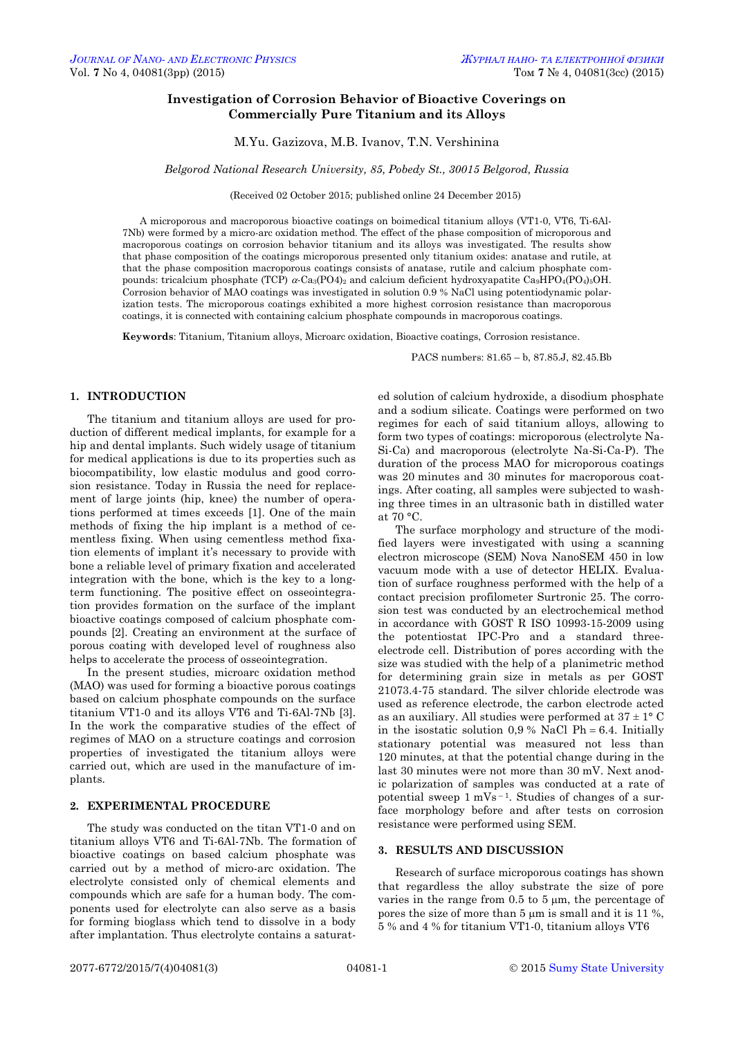# **Investigation of Corrosion Behavior of Bioactive Coverings on Commercially Pure Titanium and its Alloys**

M.Yu. Gazizova, M.B. Ivanov, T.N. Vershinina

*Belgorod National Research University, 85, Pobedy St., 30015 Belgorod, Russia*

(Received 02 October 2015; published online 24 December 2015)

A microporous and macroporous bioactive coatings on boimedical titanium alloys (VT1-0, VT6, Ti-6Al-7Nb) were formed by a micro-arc oxidation method. The effect of the phase composition of microporous and macroporous coatings on corrosion behavior titanium and its alloys was investigated. The results show that phase composition of the coatings microporous presented only titanium oxides: anatase and rutile, at that the phase composition macroporous coatings consists of anatase, rutile and calcium phosphate compounds: tricalcium phosphate (TCP)  $\alpha$ -Ca<sub>3</sub>(PO4)<sub>2</sub> and calcium deficient hydroxyapatite Ca<sub>9</sub>HPO<sub>4</sub>(PO<sub>4</sub>)<sub>5</sub>OH. Corrosion behavior of MAO coatings was investigated in solution 0.9 % NaCl using potentiodynamic polarization tests. The microporous coatings exhibited a more highest corrosion resistance than macroporous coatings, it is connected with containing calcium phosphate compounds in macroporous coatings.

**Keywords**: Titanium, Titanium alloys, Microarc oxidation, Bioactive coatings, Corrosion resistance.

PACS numbers: 81.65 – b, 87.85.J, 82.45.Bb

## **1. INTRODUCTION**

The titanium and titanium alloys are used for production of different medical implants, for example for a hip and dental implants. Such widely usage of titanium for medical applications is due to its properties such as biocompatibility, low elastic modulus and good corrosion resistance. Today in Russia the need for replacement of large joints (hip, knee) the number of operations performed at times exceeds [1]. One of the main methods of fixing the hip implant is a method of cementless fixing. When using cementless method fixation elements of implant it's necessary to provide with bone a reliable level of primary fixation and accelerated integration with the bone, which is the key to a longterm functioning. The positive effect on osseointegration provides formation on the surface of the implant bioactive coatings composed of calcium phosphate compounds [2]. Creating an environment at the surface of porous coating with developed level of roughness also helps to accelerate the process of osseointegration.

In the present studies, microarc oxidation method (MAO) was used for forming a bioactive porous coatings based on calcium phosphate compounds on the surface titanium VT1-0 and its alloys VT6 and Ti-6Al-7Nb [3]. In the work the comparative studies of the effect of regimes of MAO on a structure coatings and corrosion properties of investigated the titanium alloys were carried out, which are used in the manufacture of implants.

#### **2. EXPERIMENTAL PROCEDURE**

<span id="page-0-3"></span><span id="page-0-2"></span><span id="page-0-1"></span><span id="page-0-0"></span>The study was conducted on the titan VT1-0 and on titanium alloys VT6 and Ti-6Al-7Nb. The formation of bioactive coatings on based calcium phosphate was carried out by a method of micro-arc oxidation. The electrolyte consisted only of chemical elements and compounds which are safe for a human body. The components used for electrolyte can also serve as a basis for forming bioglass which tend to dissolve in a body after implantation. Thus electrolyte contains a saturated solution of calcium hydroxide, a disodium phosphate and a sodium silicate. Coatings were performed on two regimes for each of said titanium alloys, allowing to form two types of coatings: microporous (electrolyte Na-Si-Ca) and macroporous (electrolyte Na-Si-Ca-P). The duration of the process MAO for microporous coatings was 20 minutes and 30 minutes for macroporous coatings. After coating, all samples were subjected to washing three times in an ultrasonic bath in distilled water at  $70 °C$ .

The surface morphology and structure of the modified layers were investigated with using a scanning electron microscope (SEM) Nova NanoSEM 450 in low vacuum mode with a use of detector HELIX. Evaluation of surface roughness performed with the help of a contact precision profilometer Surtronic 25. The corrosion test was conducted by an electrochemical method in accordance with GOST R ISO 10993-15-2009 using the potentiostat IPC-Pro and a standard threeelectrode cell. Distribution of pores according with the size was studied with the help of a planimetric method for determining grain size in metals as per GOST 21073.4-75 standard. The silver chloride electrode was used as reference electrode, the carbon electrode acted as an auxiliary. All studies were performed at  $37 \pm 1$ °C in the isostatic solution  $0.9\%$  NaCl Ph = 6.4. Initially stationary potential was measured not less than 120 minutes, at that the potential change during in the last 30 minutes were not more than 30 mV. Next anodic polarization of samples was conducted at a rate of potential sweep  $1 \text{ mVs}^{-1}$ . Studies of changes of a surface morphology before and after tests on corrosion resistance were performed using SEM.

### **3. RESULTS AND DISCUSSION**

Research of surface microporous coatings has shown that regardless the alloy substrate the size of pore varies in the range from 0.5 to 5 um, the percentage of pores the size of more than  $5 \mu m$  is small and it is 11 %, 5 % and 4 % for titanium VT1-0, titanium alloys VT6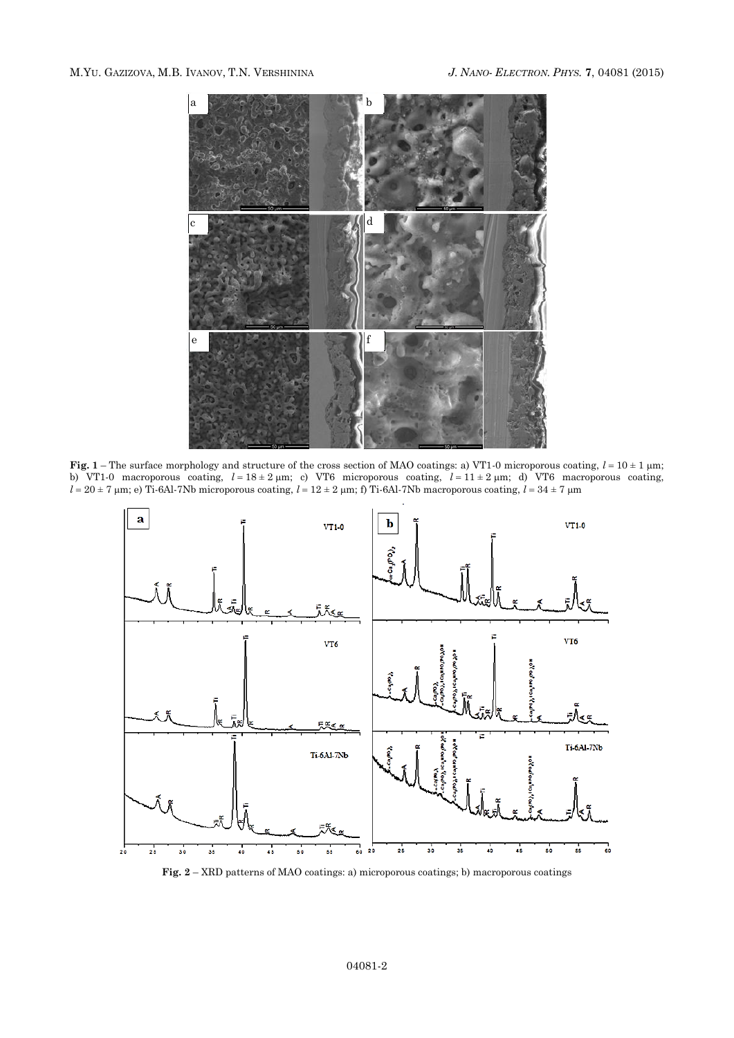

**Fig.** 1 – The surface morphology and structure of the cross section of MAO coatings: a) VT1-0 microporous coating,  $l = 10 \pm 1$  µm; b) VT1-0 macroporous coating,  $l = 18 \pm 2$  µm; c) VT6 microporous coating,  $l = 11 \pm 2$  µm; d) VT6 macroporous coating,  $l = 20 \pm 7$  µm; e) Ti-6Al-7Nb microporous coating,  $l = 12 \pm 2$  µm; f) Ti-6Al-7Nb macroporous coating,  $l = 34 \pm 7$  µm



**Fig. 2** – XRD patterns of MAO coatings: a) microporous coatings; b) macroporous coatings